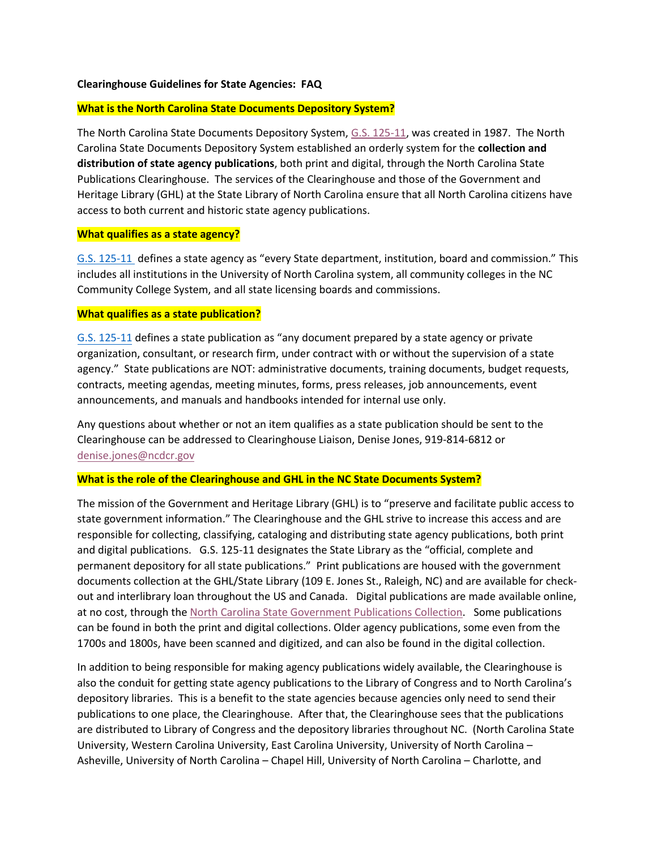#### **Clearinghouse Guidelines for State Agencies: FAQ**

## **What is the North Carolina State Documents Depository System?**

The North Carolina State Documents Depository System, [G.S. 125-11,](http://www.ncleg.net/EnactedLegislation/Statutes/PDF/ByArticle/Chapter_125/Article_1A.pdf) was created in 1987. The North Carolina State Documents Depository System established an orderly system for the **collection and distribution of state agency publications**, both print and digital, through the North Carolina State Publications Clearinghouse. The services of the Clearinghouse and those of the Government and Heritage Library (GHL) at the State Library of North Carolina ensure that all North Carolina citizens have access to both current and historic state agency publications.

#### **What qualifies as a state agency?**

[G.S. 125-11](http://www.ncleg.net/EnactedLegislation/Statutes/PDF/ByArticle/Chapter_125/Article_1A.pdf) defines a state agency as "every State department, institution, board and commission." This includes all institutions in the University of North Carolina system, all community colleges in the NC Community College System, and all state licensing boards and commissions.

## **What qualifies as a state publication?**

[G.S. 125-11](http://www.ncleg.net/EnactedLegislation/Statutes/PDF/ByArticle/Chapter_125/Article_1A.pdf) defines a state publication as "any document prepared by a state agency or private organization, consultant, or research firm, under contract with or without the supervision of a state agency." State publications are NOT: administrative documents, training documents, budget requests, contracts, meeting agendas, meeting minutes, forms, press releases, job announcements, event announcements, and manuals and handbooks intended for internal use only.

Any questions about whether or not an item qualifies as a state publication should be sent to the Clearinghouse can be addressed to Clearinghouse Liaison, Denise Jones, 919-814-6812 or [denise.jones@ncdcr.gov](mailto:denise.jones@ncdcr.gov)

#### **What is the role of the Clearinghouse and GHL in the NC State Documents System?**

The mission of the Government and Heritage Library (GHL) is to "preserve and facilitate public access to state government information." The Clearinghouse and the GHL strive to increase this access and are responsible for collecting, classifying, cataloging and distributing state agency publications, both print and digital publications. G.S. 125-11 designates the State Library as the "official, complete and permanent depository for all state publications." Print publications are housed with the government documents collection at the GHL/State Library (109 E. Jones St., Raleigh, NC) and are available for checkout and interlibrary loan throughout the US and Canada. Digital publications are made available online, at no cost, through the [North Carolina State Government Publications Collection.](http://ncgovdocs.org/) Some publications can be found in both the print and digital collections. Older agency publications, some even from the 1700s and 1800s, have been scanned and digitized, and can also be found in the digital collection.

In addition to being responsible for making agency publications widely available, the Clearinghouse is also the conduit for getting state agency publications to the Library of Congress and to North Carolina's depository libraries. This is a benefit to the state agencies because agencies only need to send their publications to one place, the Clearinghouse. After that, the Clearinghouse sees that the publications are distributed to Library of Congress and the depository libraries throughout NC. (North Carolina State University, Western Carolina University, East Carolina University, University of North Carolina – Asheville, University of North Carolina – Chapel Hill, University of North Carolina – Charlotte, and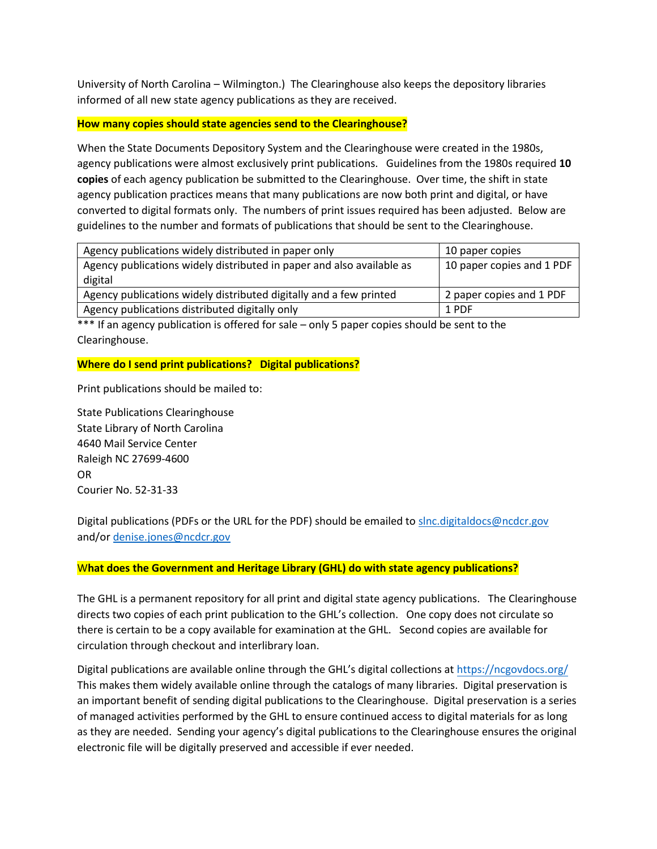University of North Carolina – Wilmington.) The Clearinghouse also keeps the depository libraries informed of all new state agency publications as they are received.

## **How many copies should state agencies send to the Clearinghouse?**

When the State Documents Depository System and the Clearinghouse were created in the 1980s, agency publications were almost exclusively print publications. Guidelines from the 1980s required **10 copies** of each agency publication be submitted to the Clearinghouse. Over time, the shift in state agency publication practices means that many publications are now both print and digital, or have converted to digital formats only. The numbers of print issues required has been adjusted. Below are guidelines to the number and formats of publications that should be sent to the Clearinghouse.

| Agency publications widely distributed in paper only                             | 10 paper copies           |
|----------------------------------------------------------------------------------|---------------------------|
| Agency publications widely distributed in paper and also available as<br>digital | 10 paper copies and 1 PDF |
| Agency publications widely distributed digitally and a few printed               | 2 paper copies and 1 PDF  |
| Agency publications distributed digitally only                                   | 1 PDF                     |

\*\*\* If an agency publication is offered for sale – only 5 paper copies should be sent to the Clearinghouse.

#### **Where do I send print publications? Digital publications?**

Print publications should be mailed to:

State Publications Clearinghouse State Library of North Carolina 4640 Mail Service Center Raleigh NC 27699-4600 OR Courier No. 52-31-33

Digital publications (PDFs or the URL for the PDF) should be emailed to [slnc.digitaldocs@ncdcr.gov](mailto:slnc.digitaldocs@ncdcr.gov) and/or [denise.jones@ncdcr.gov](mailto:denise.jones@ncdcr.gov)

## W**hat does the Government and Heritage Library (GHL) do with state agency publications?**

The GHL is a permanent repository for all print and digital state agency publications. The Clearinghouse directs two copies of each print publication to the GHL's collection. One copy does not circulate so there is certain to be a copy available for examination at the GHL. Second copies are available for circulation through checkout and interlibrary loan.

Digital publications are available online through the GHL's digital collections at https[://ncgovdocs.org/](http://ncgovdocs.org/) This makes them widely available online through the catalogs of many libraries. Digital preservation is an important benefit of sending digital publications to the Clearinghouse. Digital preservation is a series of managed activities performed by the GHL to ensure continued access to digital materials for as long as they are needed. Sending your agency's digital publications to the Clearinghouse ensures the original electronic file will be digitally preserved and accessible if ever needed.